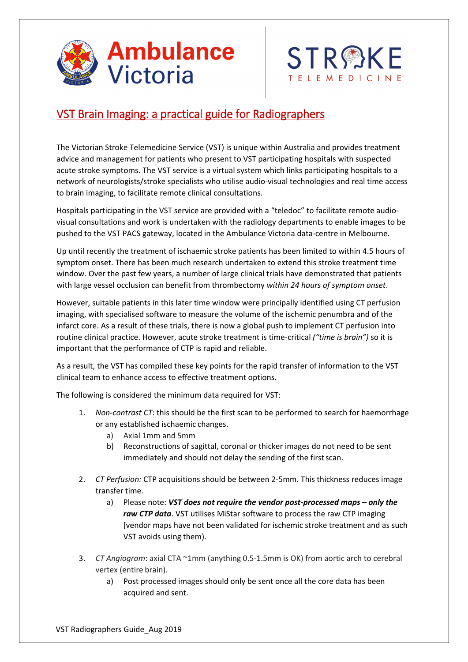



## VST Brain Imaging: a practical guide for Radiographers

The Victorian Stroke Telemedicine Service (VST) is unique within Australia and provides treatment advice and management for patients who present to VST participating hospitals with suspected acute stroke symptoms. The VST service is a virtual system which links participating hospitals to a network of neurologists/stroke specialists who utilise audio‐visual technologies and real time access to brain imaging, to facilitate remote clinical consultations.

Hospitals participating in the VST service are provided with a "teledoc" to facilitate remote audio‐ visual consultations and work is undertaken with the radiology departments to enable images to be pushed to the VST PACS gateway, located in the Ambulance Victoria data‐centre in Melbourne.

Up until recently the treatment of ischaemic stroke patients has been limited to within 4.5 hours of symptom onset. There has been much research undertaken to extend this stroke treatment time window. Over the past few years, a number of large clinical trials have demonstrated that patients with large vessel occlusion can benefit from thrombectomy *within 24 hours of symptom onset*.

However, suitable patients in this later time window were principally identified using CT perfusion imaging, with specialised software to measure the volume of the ischemic penumbra and of the infarct core. As a result of these trials, there is now a global push to implement CT perfusion into routine clinical practice. However, acute stroke treatment is time‐critical *("time is brain")* so it is important that the performance of CTP is rapid and reliable.

As a result, the VST has compiled these key points for the rapid transfer of information to the VST clinical team to enhance access to effective treatment options.

The following is considered the minimum data required for VST:

- 1. *Non-contrast CT*: this should be the first scan to be performed to search for haemorrhage or any established ischaemic changes.
	- a) Axial 1mm and 5mm
	- b) Reconstructions of sagittal, coronal or thicker images do not need to be sent immediately and should not delay the sending of the first scan.
- 2. *CT Perfusion:* CTP acquisitions should be between 2-5mm. This thickness reduces image transfer time.
	- a) Please note: *VST does not require the vendor post‐processed maps only the raw CTP data*. VST utilises MiStar software to process the raw CTP imaging [vendor maps have not been validated for ischemic stroke treatment and as such VST avoids using them).
- 3. *CT Angiogram*: axial CTA ~1mm (anything 0.5‐1.5mm is OK) from aortic arch to cerebral vertex (entire brain).
	- a) Post processed images should only be sent once all the core data has been acquired and sent.